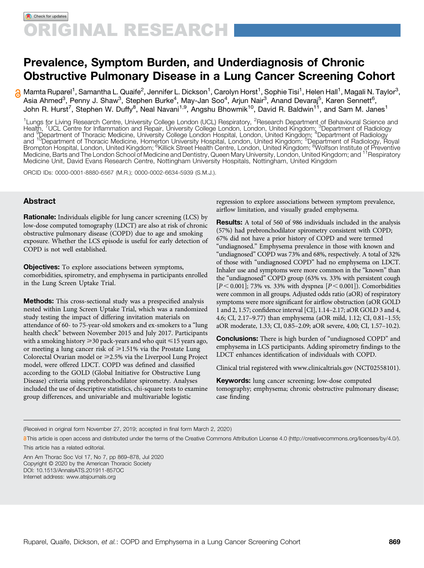# Prevalence, Symptom Burden, and Underdiagnosis of Chronic Obstructive Pulmonary Disease in a Lung Cancer Screening Cohort

Mamta Ruparel<sup>1</sup>, Samantha L. Quaife<sup>2</sup>, Jennifer L. Dickson<sup>1</sup>, Carolyn Horst<sup>1</sup>, Sophie Tisi<sup>1</sup>, Helen Hall<sup>1</sup>, Magali N. Taylor<sup>3</sup>, Asia Ahmed<sup>3</sup>, Penny J. Shaw<sup>3</sup>, Stephen Burke<sup>4</sup>, May-Jan Soo<sup>4</sup>, Arjun Nair<sup>3</sup>, Anand Devaraj<sup>5</sup>, Karen Sennett<sup>6</sup>, John R. Hurst<sup>7</sup>, Stephen W. Duffy<sup>8</sup>, Neal Navani<sup>1,9</sup>, Angshu Bhowmik<sup>10</sup>, David R. Baldwin<sup>11</sup>, and Sam M. Janes<sup>1</sup>

<sup>1</sup>Lungs for Living Research Centre, University College London (UCL) Respiratory, <sup>2</sup>Research Department of Behavioural Science and<br>Health, <sup>7</sup>UCL Centre for Inflammation and Repair, University College London, London, Unit and <sup>10</sup>Department of Thoracic Medicine, Homerton University Hospital, London, United Kingdom; <sup>5</sup>Department of Radiology, Royal<br>and <sup>10</sup>Department of Thoracic Medicine, Homerton University Hospital, London, United Kingdom Brompton Hospital, London, United Kingdom; <sup>6</sup>Killick Street Health Centre, London, United Kingdom; <sup>6</sup>Wolfson Institute of Preventive<br>Medicine, Barts and The London School of Medicine and Dentistry, Queen Mary University, Medicine Unit, David Evans Research Centre, Nottingham University Hospitals, Nottingham, United Kingdom

ORCID IDs: [0000-0001-8880-6567](http://orcid.org/0000-0001-8880-6567) (M.R.); [0000-0002-6634-5939](http://orcid.org/0000-0002-6634-5939) (S.M.J.).

## Abstract

Rationale: Individuals eligible for lung cancer screening (LCS) by low-dose computed tomography (LDCT) are also at risk of chronic obstructive pulmonary disease (COPD) due to age and smoking exposure. Whether the LCS episode is useful for early detection of COPD is not well established.

**Objectives:** To explore associations between symptoms, comorbidities, spirometry, and emphysema in participants enrolled in the Lung Screen Uptake Trial.

Methods: This cross-sectional study was a prespecified analysis nested within Lung Screen Uptake Trial, which was a randomized study testing the impact of differing invitation materials on attendance of 60- to 75-year-old smokers and ex-smokers to a "lung health check" between November 2015 and July 2017. Participants with a smoking history  $\geq$  30 pack-years and who quit  $\leq$  15 years ago, or meeting a lung cancer risk of  $\geq 1.51\%$  via the Prostate Lung Colorectal Ovarian model or  $\geq$  2.5% via the Liverpool Lung Project model, were offered LDCT. COPD was defined and classified according to the GOLD (Global Initiative for Obstructive Lung Disease) criteria using prebronchodilator spirometry. Analyses included the use of descriptive statistics, chi-square tests to examine group differences, and univariable and multivariable logistic

regression to explore associations between symptom prevalence, airflow limitation, and visually graded emphysema.

Results: A total of 560 of 986 individuals included in the analysis (57%) had prebronchodilator spirometry consistent with COPD; 67% did not have a prior history of COPD and were termed "undiagnosed." Emphysema prevalence in those with known and "undiagnosed" COPD was 73% and 68%, respectively. A total of 32% of those with "undiagnosed COPD" had no emphysema on LDCT. Inhaler use and symptoms were more common in the "known" than the "undiagnosed" COPD group (63% vs. 33% with persistent cough  $[P < 0.001]$ ; 73% vs. 33% with dyspnea  $[P < 0.001]$ ). Comorbidities were common in all groups. Adjusted odds ratio (aOR) of respiratory symptoms were more significant for airflow obstruction (aOR GOLD 1 and 2, 1.57; confidence interval [CI], 1.14–2.17; aOR GOLD 3 and 4, 4.6; CI, 2.17–9.77) than emphysema (aOR mild, 1.12; CI, 0.81–1.55; aOR moderate, 1.33; CI, 0.85–2.09; aOR severe, 4.00; CI, 1.57–10.2).

**Conclusions:** There is high burden of "undiagnosed COPD" and emphysema in LCS participants. Adding spirometry findings to the LDCT enhances identification of individuals with COPD.

Clinical trial registered with [www.clinicaltrials.gov](http://www.clinicaltrials.gov) (NCT02558101).

Keywords: lung cancer screening; low-dose computed tomography; emphysema; chronic obstructive pulmonary disease; case finding

(Received in original form November 27, 2019; accepted in final form March 2, 2020 )

This article is open access and distributed under the terms of the Creative Commons Attribution License 4.0 [\(http://creativecommons.org/licenses/by/4.0/\)](http://creativecommons.org/licenses/by/4.0/).

[This article has a related editorial.](http://dx.doi.org/10.1513/AnnalsATS.202005-433ED)

Ann Am Thorac Soc Vol 17, No 7, pp 869–878, Jul 2020 Copyright © 2020 by the American Thoracic Society DOI: [10.1513/AnnalsATS.201911-857OC](http://10.1513/AnnalsATS.201911-857OC) Internet address: [www.atsjournals.org](http://www.atsjournals.org)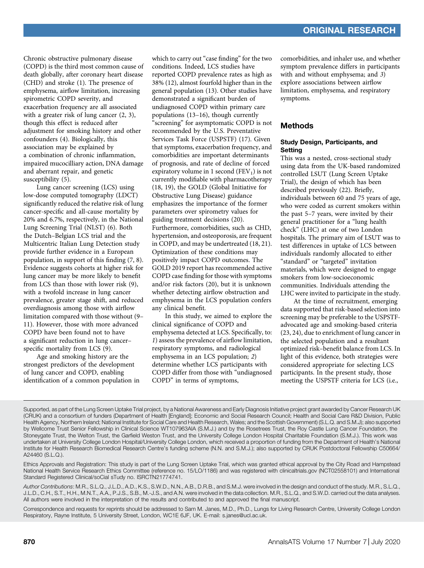Chronic obstructive pulmonary disease (COPD) is the third most common cause of death globally, after coronary heart disease (CHD) and stroke (1). The presence of emphysema, airflow limitation, increasing spirometric COPD severity, and exacerbation frequency are all associated with a greater risk of lung cancer  $(2, 3)$ , though this effect is reduced after adjustment for smoking history and other confounders (4). Biologically, this association may be explained by a combination of chronic inflammation, impaired mucocilliary action, DNA damage and aberrant repair, and genetic susceptibility (5).

Lung cancer screening (LCS) using low-dose computed tomography (LDCT) significantly reduced the relative risk of lung cancer-specific and all-cause mortality by 20% and 6.7%, respectively, in the National Lung Screening Trial (NLST) (6). Both the Dutch–Belgian LCS trial and the Multicentric Italian Lung Detection study provide further evidence in a European population, in support of this finding (7, 8). Evidence suggests cohorts at higher risk for lung cancer may be more likely to benefit from LCS than those with lower risk (9), with a twofold increase in lung cancer prevalence, greater stage shift, and reduced overdiagnosis among those with airflow limitation compared with those without (9– 11). However, those with more advanced COPD have been found not to have a significant reduction in lung cancer– specific mortality from LCS (9).

Age and smoking history are the strongest predictors of the development of lung cancer and COPD, enabling identification of a common population in

which to carry out "case finding" for the two conditions. Indeed, LCS studies have reported COPD prevalence rates as high as 38% (12), almost fourfold higher than in the general population (13). Other studies have demonstrated a significant burden of undiagnosed COPD within primary care populations (13–16), though currently "screening" for asymptomatic COPD is not recommended by the U.S. Preventative Services Task Force (USPSTF) (17). Given that symptoms, exacerbation frequency, and comorbidities are important determinants of prognosis, and rate of decline of forced expiratory volume in 1 second ( $FEV<sub>1</sub>$ ) is not currently modifiable with pharmacotherapy (18, 19), the GOLD (Global Initiative for Obstructive Lung Disease) guidance emphasizes the importance of the former parameters over spirometry values for guiding treatment decisions (20). Furthermore, comorbidities, such as CHD, hypertension, and osteoporosis, are frequent in COPD, and may be undertreated (18, 21). Optimization of these conditions may positively impact COPD outcomes. The GOLD 2019 report has recommended active COPD case finding for those with symptoms and/or risk factors (20), but it is unknown whether detecting airflow obstruction and emphysema in the LCS population confers any clinical benefit.

In this study, we aimed to explore the clinical significance of COPD and emphysema detected at LCS. Specifically, to: 1) assess the prevalence of airflow limitation, respiratory symptoms, and radiological emphysema in an LCS population; 2) determine whether LCS participants with COPD differ from those with "undiagnosed COPD" in terms of symptoms,

comorbidities, and inhaler use, and whether symptom prevalence differs in participants with and without emphysema; and 3) explore associations between airflow limitation, emphysema, and respiratory symptoms.

## Methods

### Study Design, Participants, and **Setting**

This was a nested, cross-sectional study using data from the UK-based randomized controlled LSUT (Lung Screen Uptake Trial), the design of which has been described previously (22). Briefly, individuals between 60 and 75 years of age, who were coded as current smokers within the past 5–7 years, were invited by their general practitioner for a "lung health check" (LHC) at one of two London hospitals. The primary aim of LSUT was to test differences in uptake of LCS between individuals randomly allocated to either "standard" or "targeted" invitation materials, which were designed to engage smokers from low-socioeconomic communities. Individuals attending the LHC were invited to participate in the study.

At the time of recruitment, emerging data supported that risk-based selection into screening may be preferable to the USPSTFadvocated age and smoking-based criteria (23, 24), due to enrichment of lung cancer in the selected population and a resultant optimized risk–benefit balance from LCS. In light of this evidence, both strategies were considered appropriate for selecting LCS participants. In the present study, those meeting the USPSTF criteria for LCS (i.e.,

Supported, as part of the Lung Screen Uptake Trial project, by a National Awareness and Early Diagnosis Initiative project grant awarded by Cancer Research UK (CRUK) and a consortium of funders (Department of Health [England]; Economic and Social Research Council; Health and Social Care R&D Division, Public Health Agency, Northern Ireland; National Institute for Social Care and Health Research, Wales; and the Scottish Government) (S.L.Q. and S.M.J); also supported by Wellcome Trust Senior Fellowship in Clinical Science WT107963AIA (S.M.J.) and by the Rosetrees Trust, the Roy Castle Lung Cancer Foundation, the Stoneygate Trust, the Welton Trust, the Garfield Weston Trust, and the University College London Hospital Charitable Foundation (S.M.J.). This work was undertaken at University College London Hospital/University College London, which received a proportion of funding from the Department of Health's National Institute for Health Research Biomedical Research Centre's funding scheme (N.N. and S.M.J.); also supported by CRUK Postdoctoral Fellowship C50664/ A24460 (S.L.Q.).

Ethics Approvals and Registration: This study is part of the Lung Screen Uptake Trial, which was granted ethical approval by the City Road and Hampstead National Health Service Research Ethics Committee (reference no. 15/LO/1186) and was registered with [clinicaltrials.gov](http://clinicaltrials.gov) (NCT02558101) and International Standard Registered Clinical/soCial sTudy no. ISRCTN21774741.

Author Contributions: M.R., S.L.Q., J.L.D., A.D., K.S., S.W.D., N.N., A.B., D.R.B., and S.M.J. were involved in the design and conduct of the study. M.R., S.L.Q., J.L.D., C.H., S.T., H.H., M.N.T., A.A., P.J.S., S.B., M.-J.S., and A.N. were involved in the data collection. M.R., S.L.Q., and S.W.D. carried out the data analyses. All authors were involved in the interpretation of the results and contributed to and approved the final manuscript.

Correspondence and requests for reprints should be addressed to Sam M. Janes, M.D., Ph.D., Lungs for Living Research Centre, University College London Respiratory, Rayne Institute, 5 University Street, London, WC1E 6JF, UK. E-mail: [s.janes@ucl.ac.uk](mailto:s.janes@ucl.ac.uk).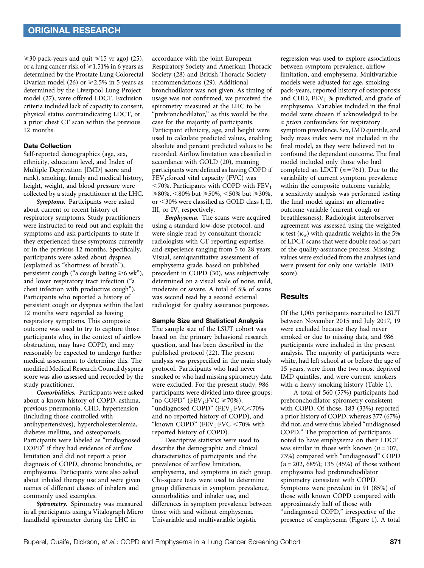$\geq$  30 pack-years and quit  $\leq$  15 yr ago) (25), or a lung cancer risk of  $\geq 1.51\%$  in 6 years as determined by the Prostate Lung Colorectal Ovarian model (26) or  $\geq 2.5\%$  in 5 years as determined by the Liverpool Lung Project model (27), were offered LDCT. Exclusion criteria included lack of capacity to consent, physical status contraindicating LDCT, or a prior chest CT scan within the previous 12 months.

## Data Collection

Self-reported demographics (age, sex, ethnicity, education level, and Index of Multiple Deprivation [IMD] score and rank), smoking, family and medical history, height, weight, and blood pressure were collected by a study practitioner at the LHC.

Symptoms. Participants were asked about current or recent history of respiratory symptoms. Study practitioners were instructed to read out and explain the symptoms and ask participants to state if they experienced these symptoms currently or in the previous 12 months. Specifically, participants were asked about dyspnea (explained as "shortness of breath"), persistent cough ("a cough lasting  $\geq 6$  wk"), and lower respiratory tract infection ("a chest infection with productive cough"). Participants who reported a history of persistent cough or dyspnea within the last 12 months were regarded as having respiratory symptoms. This composite outcome was used to try to capture those participants who, in the context of airflow obstruction, may have COPD, and may reasonably be expected to undergo further medical assessment to determine this. The modified Medical Research Council dyspnea score was also assessed and recorded by the study practitioner.

Comorbidities. Participants were asked about a known history of COPD, asthma, previous pneumonia, CHD, hypertension (including those controlled with antihypertensives), hypercholesterolemia, diabetes mellitus, and osteoporosis. Participants were labeled as "undiagnosed COPD" if they had evidence of airflow limitation and did not report a prior diagnosis of COPD, chronic bronchitis, or emphysema. Participants were also asked about inhaled therapy use and were given names of different classes of inhalers and commonly used examples.

Spirometry. Spirometry was measured in all participants using a Vitalograph Micro handheld spirometer during the LHC in

accordance with the joint European Respiratory Society and American Thoracic Society (28) and British Thoracic Society recommendations (29). Additional bronchodilator was not given. As timing of usage was not confirmed, we perceived the spirometry measured at the LHC to be 'prebronchodilator," as this would be the case for the majority of participants. Participant ethnicity, age, and height were used to calculate predicted values, enabling absolute and percent predicted values to be recorded. Airflow limitation was classified in accordance with GOLD (20), meaning participants were defined as having COPD if  $FEV<sub>1</sub>:forced vital capacity (FVC) was$  $<$ 70%. Participants with COPD with  $FEV<sub>1</sub>$  $\geq 80\%$ , <80% but  $\geq 50\%$ , <50% but  $\geq 30\%$ , or <30% were classified as GOLD class I, II, III, or IV, respectively.

Emphysema. The scans were acquired using a standard low-dose protocol, and were single read by consultant thoracic radiologists with CT reporting expertise, and experience ranging from 5 to 28 years. Visual, semiquantitative assessment of emphysema grade, based on published precedent in COPD (30), was subjectively determined on a visual scale of none, mild, moderate or severe. A total of 5% of scans was second read by a second external radiologist for quality assurance purposes.

#### Sample Size and Statistical Analysis

The sample size of the LSUT cohort was based on the primary behavioral research question, and has been described in the published protocol (22). The present analysis was prespecified in the main study protocol. Participants who had never smoked or who had missing spirometry data were excluded. For the present study, 986 participants were divided into three groups: "no COPD" (FEV<sub>1</sub>:FVC  $\geq 70\%$ ), "undiagnosed COPD" (FEV<sub>1</sub>:FVC<70% and no reported history of COPD), and "known COPD" (FEV<sub>1</sub>:FVC  $\leq$ 70% with reported history of COPD).

Descriptive statistics were used to describe the demographic and clinical characteristics of participants and the prevalence of airflow limitation, emphysema, and symptoms in each group. Chi-square tests were used to determine group differences in symptom prevalence, comorbidities and inhaler use, and differences in symptom prevalence between those with and without emphysema. Univariable and multivariable logistic

regression was used to explore associations between symptom prevalence, airflow limitation, and emphysema. Multivariable models were adjusted for age, smoking pack-years, reported history of osteoporosis and CHD,  $FEV<sub>1</sub>$  % predicted, and grade of emphysema. Variables included in the final model were chosen if acknowledged to be a priori confounders for respiratory symptom prevalence. Sex, IMD quintile, and body mass index were not included in the final model, as they were believed not to confound the dependent outcome. The final model included only those who had completed an LDCT  $(n = 761)$ . Due to the variability of current symptom prevalence within the composite outcome variable, a sensitivity analysis was performed testing the final model against an alternative outcome variable (current cough or breathlessness). Radiologist interobserver agreement was assessed using the weighted  $\kappa$  test ( $\kappa_w$ ) with quadratic weights in the 5% of LDCT scans that were double read as part of the quality-assurance process. Missing values were excluded from the analyses (and were present for only one variable: IMD score).

### **Results**

Of the 1,005 participants recruited to LSUT between November 2015 and July 2017, 19 were excluded because they had never smoked or due to missing data, and 986 participants were included in the present analysis. The majority of participants were white, had left school at or before the age of 15 years, were from the two most deprived IMD quintiles, and were current smokers with a heavy smoking history (Table 1).

A total of 560 (57%) participants had prebronchodilator spirometry consistent with COPD. Of those, 183 (33%) reported a prior history of COPD, whereas 377 (67%) did not, and were thus labeled "undiagnosed COPD." The proportion of participants noted to have emphysema on their LDCT was similar in those with known ( $n = 107$ , 73%) compared with "undiagnosed" COPD  $(n = 202, 68\%)$ ; 135 (45%) of those without emphysema had prebronchodilator spirometry consistent with COPD. Symptoms were prevalent in 91 (85%) of those with known COPD compared with approximately half of those with "undiagnosed COPD," irrespective of the presence of emphysema (Figure 1). A total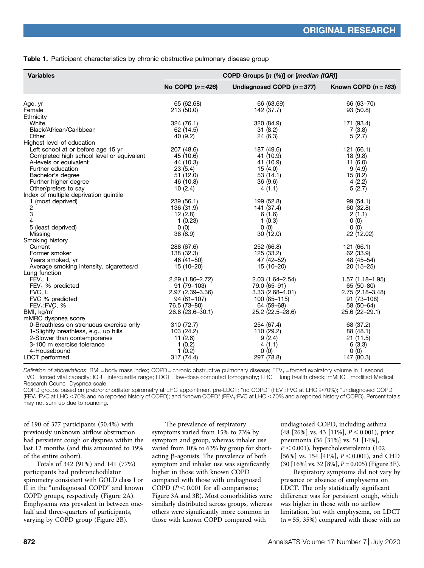|  |  | Table 1. Participant characteristics by chronic obstructive pulmonary disease group |  |  |  |  |
|--|--|-------------------------------------------------------------------------------------|--|--|--|--|
|--|--|-------------------------------------------------------------------------------------|--|--|--|--|

| <b>Variables</b>                            | COPD Groups [n (%)] or [median (IQR)] |                              |                        |  |  |
|---------------------------------------------|---------------------------------------|------------------------------|------------------------|--|--|
|                                             | No COPD $(n = 426)$                   | Undiagnosed COPD $(n = 377)$ | Known COPD $(n = 183)$ |  |  |
| Age, yr                                     | 65 (62,68)                            | 66 (63,69)                   | 66 (63-70)             |  |  |
| Female                                      | 213 (50.0)                            | 142 (37.7)                   | 93 (50.8)              |  |  |
| Ethnicity                                   |                                       |                              |                        |  |  |
| White                                       | 324 (76.1)                            | 320 (84.9)                   | 171 (93.4)             |  |  |
| Black/African/Caribbean                     | 62 (14.5)                             | 31(8.2)                      | 7(3.8)                 |  |  |
| Other                                       | 40 (9.2)                              | 24 (6.3)                     | 5(2.7)                 |  |  |
| Highest level of education                  |                                       |                              |                        |  |  |
| Left school at or before age 15 yr          | 207 (48.6)                            | 187 (49.6)                   | 121 (66.1)             |  |  |
| Completed high school level or equivalent   | 45 (10.6)<br>44 (10.3)                | 41 (10.9)                    | 18(9.8)                |  |  |
| A-levels or equivalent<br>Further education | 23(5.4)                               | 41 (10.9)                    | 11(6.0)<br>9(4.9)      |  |  |
| Bachelor's degree                           | 51(12.0)                              | 15 (4.0)<br>53(14.1)         | 15(8.2)                |  |  |
| Further higher degree                       | 46 (10.8)                             | 36(9.6)                      | 4(2.2)                 |  |  |
| Other/prefers to say                        | 10(2.4)                               | 4(1.1)                       | 5(2.7)                 |  |  |
| Index of multiple deprivation quintile      |                                       |                              |                        |  |  |
| 1 (most deprived)                           | 239 (56.1)                            | 199 (52.8)                   | 99 (54.1)              |  |  |
| $\overline{c}$                              | 136 (31.9)                            | 141 (37.4)                   | 60 (32.8)              |  |  |
| 3                                           | 12(2.8)                               | 6(1.6)                       | 2(1.1)                 |  |  |
| 4                                           | 1(0.23)                               | 1(0.3)                       | 0(0)                   |  |  |
| 5 (least deprived)                          | 0(0)                                  | 0(0)                         | 0(0)                   |  |  |
| Missing                                     | 38 (8.9)                              | 30(12.0)                     | 22 (12.02)             |  |  |
| Smoking history                             |                                       |                              |                        |  |  |
| Current                                     | 288 (67.6)                            | 252 (66.8)                   | 121 (66.1)             |  |  |
| Former smoker                               | 138 (32.3)                            | 125 (33.2)                   | 62 (33.9)              |  |  |
| Years smoked, yr                            | 46 (41-50)                            | 47 (42-52)                   | 48 (45 - 54)           |  |  |
| Average smoking intensity, cigarettes/d     | 15 (10-20)                            | 15 (10-20)                   | $20(15-25)$            |  |  |
| Lung function                               |                                       |                              |                        |  |  |
| $FEV1$ , L                                  | $2.29(1.86 - 2.72)$                   | $2.03(1.64 - 2.54)$          | $1.57(1.18 - 1.95)$    |  |  |
| $FEV1$ % predicted                          | 91 (79-103)                           | 79.0 (65–91)                 | 65 (50-80)             |  |  |
| FVC, L                                      | 2.97 (2.39-3.36)                      | $3.33(2.68 - 4.01)$          | 2.75 (2.18-3.48)       |  |  |
| FVC % predicted                             | 94 (81-107)                           | 100 (85-115)                 | 91 (73-108)            |  |  |
| FEV <sub>1</sub> :FVC, %                    | 76.5 (73-80)                          | 64 (59-68)                   | 58 (50-64)             |  |  |
| BMI, $kg/m2$                                | 26.8 (23.6-30.1)                      | 25.2 (22.5-28.6)             | 25.6 (22-29.1)         |  |  |
| mMRC dyspnea score                          |                                       |                              |                        |  |  |
| 0-Breathless on strenuous exercise only     | 310 (72.7)                            | 254 (67.4)                   | 68 (37.2)              |  |  |
| 1-Slightly breathless, e.g., up hills       | 103 (24.2)                            | 110 (29.2)                   | 88 (48.1)              |  |  |
| 2-Slower than contemporaries                | 11(2.6)                               | 9(2.4)                       | 21(11.5)               |  |  |
| 3-100 m exercise tolerance                  | 1(0.2)                                | 4(1.1)                       | 6(3.3)                 |  |  |
| 4-Housebound                                | 1(0.2)                                | 0(0)                         | 0(0)                   |  |  |
| LDCT performed                              | 317 (74.4)                            | 297 (78.8)                   | 147 (80.3)             |  |  |

Definition of abbreviations: BMI = body mass index; COPD = chronic obstructive pulmonary disease; FEV<sub>1</sub> = forced expiratory volume in 1 second; FVC = forced vital capacity; IQR = interquartile range; LDCT = low-dose computed tomography; LHC = lung health check; mMRC = modified Medical Research Council Dyspnea scale.

COPD groups based on prebronchodilator spirometry at LHC appointment pre-LDCT: "no COPD" (FEV<sub>1</sub>:FVC at LHC ≥70%); "undiagnosed COPD" (FEV<sub>1</sub>:FVC at LHC <70% and no reported history of COPD); and "known COPD" (FEV<sub>1</sub>:FVC at LHC <70% and a reported history of COPD). Percent totals may not sum up due to rounding.

of 190 of 377 participants (50.4%) with previously unknown airflow obstruction had persistent cough or dyspnea within the last 12 months (and this amounted to 19% of the entire cohort).

Totals of 342 (91%) and 141 (77%) participants had prebronchodilator spirometry consistent with GOLD class I or II in the "undiagnosed COPD" and known COPD groups, respectively (Figure 2A). Emphysema was prevalent in between onehalf and three-quarters of participants, varying by COPD group (Figure 2B).

The prevalence of respiratory symptoms varied from 15% to 73% by symptom and group, whereas inhaler use varied from 10% to 63% by group for shortacting b-agonists. The prevalence of both symptom and inhaler use was significantly higher in those with known COPD compared with those with undiagnosed COPD ( $P < 0.001$  for all comparisons; Figure 3A and 3B). Most comorbidities were similarly distributed across groups, whereas others were significantly more common in those with known COPD compared with

undiagnosed COPD, including asthma  $(48 [26\%]$  vs. 43 [11%],  $P < 0.001$ ), prior pneumonia (56 [31%] vs. 51 [14%],  $P < 0.001$ ), hypercholesterolemia (102 [56%] vs. 154 [41%],  $P < 0.001$ ), and CHD  $(30 [16\%] \text{ vs. } 32 [8\%], P = 0.005)$  (Figure 3E).

Respiratory symptoms did not vary by presence or absence of emphysema on LDCT. The only statistically significant difference was for persistent cough, which was higher in those with no airflow limitation, but with emphysema, on LDCT  $(n = 55, 35%)$  compared with those with no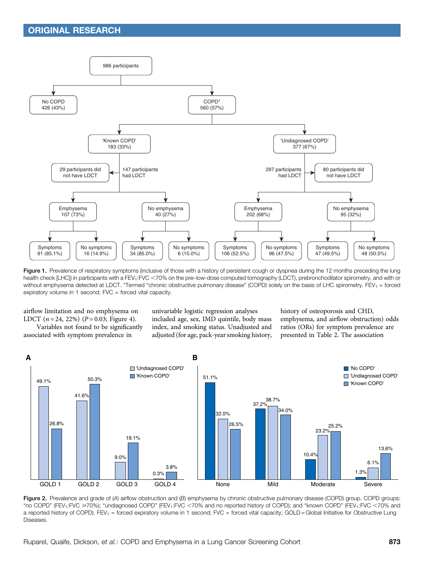

Figure 1. Prevalence of respiratory symptoms (inclusive of those with a history of persistent cough or dyspnea during the 12 months preceding the lung health check [LHC]) in participants with a FEV<sub>1</sub>:FVC <70% on the pre–low-dose computed tomography (LDCT), prebronchodilator spirometry, and with or without emphysema detected at LDCT. \*Termed "chronic obstructive pulmonary disease" (COPD) solely on the basis of LHC spirometry. FEV<sub>1</sub> = forced expiratory volume in 1 second; FVC = forced vital capacity.

airflow limitation and no emphysema on LDCT  $(n = 24, 22\%)$   $(P = 0.03;$  Figure 4).

Variables not found to be significantly associated with symptom prevalence in

univariable logistic regression analyses included age, sex, IMD quintile, body mass index, and smoking status. Unadjusted and adjusted (for age, pack-year smoking history, history of osteoporosis and CHD, emphysema, and airflow obstruction) odds ratios (ORs) for symptom prevalence are presented in Table 2. The association



Figure 2. Prevalence and grade of (A) airflow obstruction and (B) emphysema by chronic obstructive pulmonary disease (COPD) group. COPD groups: "no COPD" (FEV<sub>1</sub>:FVC ≥70%); "undiagnosed COPD" (FEV<sub>1</sub>:FVC <70% and no reported history of COPD); and "known COPD" (FEV<sub>1</sub>:FVC <70% and a reported history of COPD). FEV<sub>1</sub> = forced expiratory volume in 1 second; FVC = forced vital capacity; GOLD = Global Initiative for Obstructive Lung **Diseases**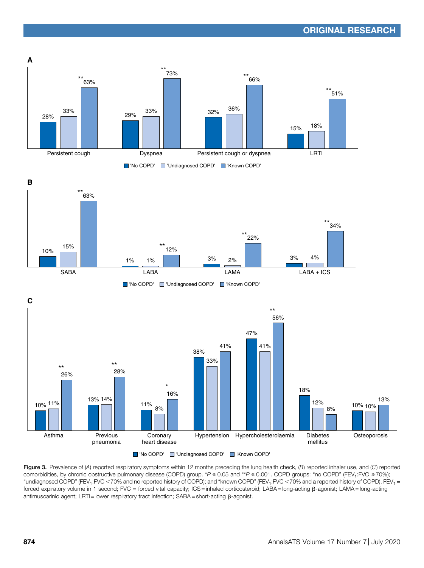

Figure 3. Prevalence of (A) reported respiratory symptoms within 12 months preceding the lung health check, (B) reported inhaler use, and (C) reported comorbidities, by chronic obstructive pulmonary disease (COPD) group. \*P  $\leq 0.05$  and \*\*P  $\leq 0.001$ . COPD groups: "no COPD" (FEV<sub>1</sub>:FVC  $\geq 70\%$ ); "undiagnosed COPD" (FEV<sub>1</sub>:FVC <70% and no reported history of COPD); and "known COPD" (FEV<sub>1</sub>:FVC <70% and a reported history of COPD). FEV<sub>1</sub> = forced expiratory volume in 1 second; FVC = forced vital capacity; ICS = inhaled corticosteroid; LABA = long-acting b-agonist; LAMA = long-acting antimuscarinic agent; LRTI = lower respiratory tract infection;  $SABA = short\text{-}action$   $\beta\text{-}agonist$ .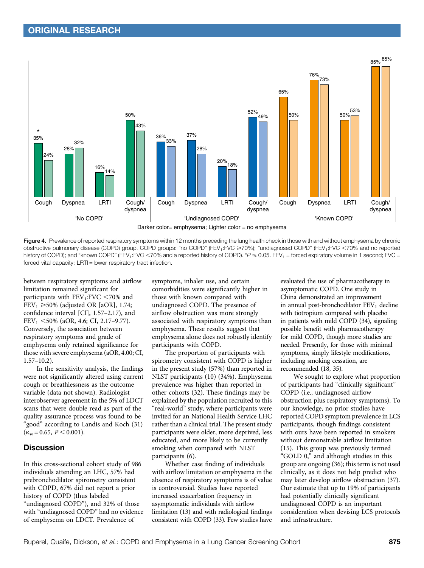

Figure 4. Prevalence of reported respiratory symptoms within 12 months preceding the lung health check in those with and without emphysema by chronic obstructive pulmonary disease (COPD) group. COPD groups: "no COPD" (FEV<sub>1</sub>:FVC ≥70%); "undiagnosed COPD" (FEV<sub>1</sub>:FVC <70% and no reported history of COPD); and "known COPD" (FEV<sub>1</sub>:FVC <70% and a reported history of COPD).  $P \le 0.05$ . FEV<sub>1</sub> = forced expiratory volume in 1 second; FVC = forced vital capacity; LRTI = lower respiratory tract infection.

between respiratory symptoms and airflow limitation remained significant for participants with  $FEV_1:FVC < 70\%$  and FEV<sub>1</sub>  $\geq$  50% (adjusted OR [aOR], 1.74; confidence interval [CI], 1.57–2.17), and  $FEV_1 < 50\%$  (aOR, 4.6; CI, 2.17–9.77). Conversely, the association between respiratory symptoms and grade of emphysema only retained significance for those with severe emphysema (aOR, 4.00; CI, 1.57–10.2).

In the sensitivity analysis, the findings were not significantly altered using current cough or breathlessness as the outcome variable (data not shown). Radiologist interobserver agreement in the 5% of LDCT scans that were double read as part of the quality assurance process was found to be "good" according to Landis and Koch (31)  $(\kappa_w = 0.65, P \le 0.001).$ 

## **Discussion**

In this cross-sectional cohort study of 986 individuals attending an LHC, 57% had prebronchodilator spirometry consistent with COPD, 67% did not report a prior history of COPD (thus labeled "undiagnosed COPD"), and 32% of those with "undiagnosed COPD" had no evidence of emphysema on LDCT. Prevalence of

symptoms, inhaler use, and certain comorbidities were significantly higher in those with known compared with undiagnosed COPD. The presence of airflow obstruction was more strongly associated with respiratory symptoms than emphysema. These results suggest that emphysema alone does not robustly identify participants with COPD.

The proportion of participants with spirometry consistent with COPD is higher in the present study (57%) than reported in NLST participants (10) (34%). Emphysema prevalence was higher than reported in other cohorts (32). These findings may be explained by the population recruited to this "real-world" study, where participants were invited for an National Health Service LHC rather than a clinical trial. The present study participants were older, more deprived, less educated, and more likely to be currently smoking when compared with NLST participants (6).

Whether case finding of individuals with airflow limitation or emphysema in the absence of respiratory symptoms is of value is controversial. Studies have reported increased exacerbation frequency in asymptomatic individuals with airflow limitation (13) and with radiological findings consistent with COPD (33). Few studies have evaluated the use of pharmacotherapy in asymptomatic COPD. One study in China demonstrated an improvement in annual post-bronchodilator  $FEV<sub>1</sub>$  decline with tiotropium compared with placebo in patients with mild COPD (34), signaling possible benefit with pharmacotherapy for mild COPD, though more studies are needed. Presently, for those with minimal symptoms, simply lifestyle modifications, including smoking cessation, are recommended (18, 35).

We sought to explore what proportion of participants had "clinically significant" COPD (i.e., undiagnosed airflow obstruction plus respiratory symptoms). To our knowledge, no prior studies have reported COPD symptom prevalence in LCS participants, though findings consistent with ours have been reported in smokers without demonstrable airflow limitation (15). This group was previously termed "GOLD 0," and although studies in this group are ongoing (36); this term is not used clinically, as it does not help predict who may later develop airflow obstruction (37). Our estimate that up to 19% of participants had potentially clinically significant undiagnosed COPD is an important consideration when devising LCS protocols and infrastructure.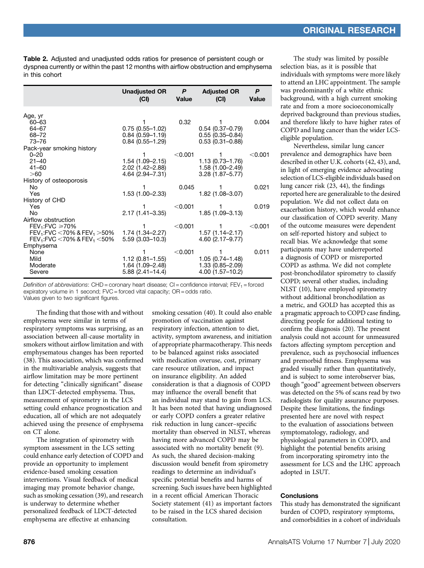Table 2. Adjusted and unadjusted odds ratios for presence of persistent cough or dyspnea currently or within the past 12 months with airflow obstruction and emphysema in this cohort

|                                      | <b>Unadjusted OR</b><br>(CI)           | P<br>Value | <b>Adjusted OR</b><br>(CI) | P<br><b>Value</b> |
|--------------------------------------|----------------------------------------|------------|----------------------------|-------------------|
| Age, yr                              |                                        |            |                            |                   |
| 60-63                                |                                        | 0.32       |                            | 0.004             |
| 64-67                                | $0.75(0.55 - 1.02)$                    |            | $0.54(0.37 - 0.79)$        |                   |
| 68-72                                | $0.84(0.59 - 1.19)$                    |            | $0.55(0.35 - 0.84)$        |                   |
| $73 - 76$                            | $0.84(0.55 - 1.29)$                    |            | $0.53(0.31 - 0.88)$        |                   |
| Pack-year smoking history            |                                        |            |                            |                   |
| $0 - 20$                             | 1                                      | $<$ 0.001  |                            | $<$ 0.001         |
| $21 - 40$                            | $1.54(1.09 - 2.15)$                    |            | $1.13(0.73 - 1.76)$        |                   |
| $41 - 60$<br>>60                     | 2.02 (1.42-2.88)<br>4.64 (2.94 - 7.31) |            | $1.58(1.00 - 2.49)$        |                   |
| History of osteoporosis              |                                        |            | $3.28(1.87 - 5.77)$        |                   |
| No.                                  |                                        | 0.045      |                            | 0.021             |
| Yes                                  | $1.53(1.00 - 2.33)$                    |            | 1.82 (1.08-3.07)           |                   |
| History of CHD                       |                                        |            |                            |                   |
| Yes                                  |                                        | < 0.001    |                            | 0.019             |
| <b>No</b>                            | $2.17(1.41 - 3.35)$                    |            | $1.85(1.09 - 3.13)$        |                   |
| Airflow obstruction                  |                                        |            |                            |                   |
| $FEV_1: FVC \ge 70\%$                |                                        | $<$ 0.001  |                            | < 0.001           |
| $FEV_1: FVC < 70\%$ & $FEV_1 > 50\%$ | 1.74 (1.34–2.27)                       |            | $1.57(1.14 - 2.17)$        |                   |
| $FEV_1: FVC < 70\%$ & $FEV_1 < 50\%$ | $5.59(3.03 - 10.3)$                    |            | 4.60 (2.17-9.77)           |                   |
| Emphysema                            |                                        |            |                            |                   |
| None                                 |                                        | < 0.001    |                            | 0.011             |
| Mild                                 | $1.12(0.81 - 1.55)$                    |            | $1.05(0.74 - 1.48)$        |                   |
| Moderate                             | 1.64 (1.09–2.48)                       |            | $1.33(0.85 - 2.09)$        |                   |
| Severe                               | $5.88(2.41 - 14.4)$                    |            | 4.00 (1.57-10.2)           |                   |

Definition of abbreviations: CHD = coronary heart disease; CI = confidence interval;  $FEV_1$  = forced expiratory volume in 1 second; FVC = forced vital capacity; OR = odds ratio. Values given to two significant figures.

The finding that those with and without emphysema were similar in terms of respiratory symptoms was surprising, as an association between all-cause mortality in smokers without airflow limitation and with emphysematous changes has been reported (38). This association, which was confirmed in the multivariable analysis, suggests that airflow limitation may be more pertinent for detecting "clinically significant" disease than LDCT-detected emphysema. Thus, measurement of spirometry in the LCS setting could enhance prognostication and education, all of which are not adequately achieved using the presence of emphysema on CT alone.

The integration of spirometry with symptom assessment in the LCS setting could enhance early detection of COPD and provide an opportunity to implement evidence-based smoking cessation interventions. Visual feedback of medical imaging may promote behavior change, such as smoking cessation (39), and research is underway to determine whether personalized feedback of LDCT-detected emphysema are effective at enhancing

smoking cessation (40). It could also enable promotion of vaccination against respiratory infection, attention to diet, activity, symptom awareness, and initiation of appropriate pharmacotherapy. This needs to be balanced against risks associated with medication overuse, cost, primary care resource utilization, and impact on insurance eligibility. An added consideration is that a diagnosis of COPD may influence the overall benefit that an individual may stand to gain from LCS. It has been noted that having undiagnosed or early COPD confers a greater relative risk reduction in lung cancer–specific mortality than observed in NLST, whereas having more advanced COPD may be associated with no mortality benefit (9). As such, the shared decision-making discussion would benefit from spirometry readings to determine an individual's specific potential benefits and harms of screening. Such issues have been highlighted in a recent official American Thoracic Society statement (41) as important factors to be raised in the LCS shared decision consultation.

The study was limited by possible selection bias, as it is possible that individuals with symptoms were more likely to attend an LHC appointment. The sample was predominantly of a white ethnic background, with a high current smoking rate and from a more socioeconomically deprived background than previous studies, and therefore likely to have higher rates of COPD and lung cancer than the wider LCSeligible population.

Nevertheless, similar lung cancer prevalence and demographics have been described in other U.K. cohorts (42, 43), and, in light of emerging evidence advocating selection of LCS-eligible individuals based on lung cancer risk (23, 44), the findings reported here are generalizable to the desired population. We did not collect data on exacerbation history, which would enhance our classification of COPD severity. Many of the outcome measures were dependent on self-reported history and subject to recall bias. We acknowledge that some participants may have underreported a diagnosis of COPD or misreported COPD as asthma. We did not complete post-bronchodilator spirometry to classify COPD; several other studies, including NLST (10), have employed spirometry without additional bronchodilation as a metric, and GOLD has accepted this as a pragmatic approach to COPD case finding, directing people for additional testing to confirm the diagnosis (20). The present analysis could not account for unmeasured factors affecting symptom perception and prevalence, such as psychosocial influences and premorbid fitness. Emphysema was graded visually rather than quantitatively, and is subject to some interobserver bias, though "good" agreement between observers was detected on the 5% of scans read by two radiologists for quality assurance purposes. Despite these limitations, the findings presented here are novel with respect to the evaluation of associations between symptomatology, radiology, and physiological parameters in COPD, and highlight the potential benefits arising from incorporating spirometry into the assessment for LCS and the LHC approach adopted in LSUT.

#### **Conclusions**

This study has demonstrated the significant burden of COPD, respiratory symptoms, and comorbidities in a cohort of individuals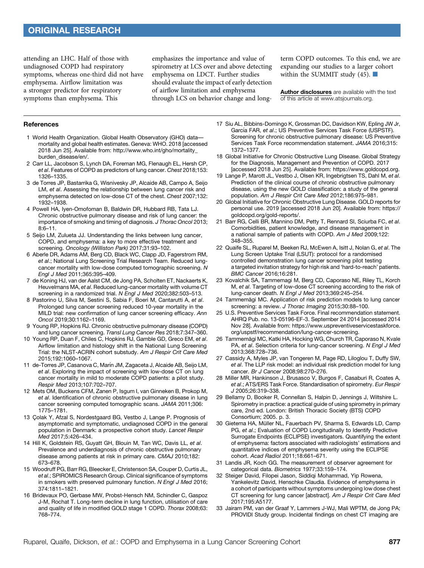attending an LHC. Half of those with undiagnosed COPD had respiratory symptoms, whereas one-third did not have emphysema. Airflow limitation was a stronger predictor for respiratory symptoms than emphysema. This

emphasizes the importance and value of spirometry at LCS over and above detecting emphysema on LDCT. Further studies should evaluate the impact of early detection of airflow limitation and emphysema through LCS on behavior change and longterm COPD outcomes. To this end, we are expanding our studies to a larger cohort within the SUMMIT study (45).  $\blacksquare$ 

[Author disclosures](http://www.atsjournals.org/doi/suppl/10.1513/AnnalsATS.201911-857OC/suppl_file/disclosures.pdf) are available with the text of this article at [www.atsjournals.org.](http://www.atsjournals.org)

#### References

- 1 World Health Organization. Global Health Observatory (GHO) data mortality and global health estimates. Geneva: WHO. 2018 [accessed 2018 Jun 25]. Available from: [http://www.who.int/gho/mortality\\_](http://www.who.int/gho/mortality_burden_disease/en/) [burden\\_disease/en/.](http://www.who.int/gho/mortality_burden_disease/en/)
- 2 Carr LL, Jacobson S, Lynch DA, Foreman MG, Flenaugh EL, Hersh CP, et al. Features of COPD as predictors of lung cancer. Chest 2018;153: 1326–1335.
- 3 de Torres JP, Bastarrika G, Wisnivesky JP, Alcaide AB, Campo A, Seijo LM, et al. Assessing the relationship between lung cancer risk and emphysema detected on low-dose CT of the chest. Chest 2007;132: 1932–1938.
- 4 Powell HA, Iyen-Omofoman B, Baldwin DR, Hubbard RB, Tata LJ. Chronic obstructive pulmonary disease and risk of lung cancer: the importance of smoking and timing of diagnosis. J Thorac Oncol 2013; 8:6–11.
- 5 Seijo LM, Zulueta JJ. Understanding the links between lung cancer, COPD, and emphysema: a key to more effective treatment and screening. Oncology (Williston Park) 2017;31:93–102.
- 6 Aberle DR, Adams AM, Berg CD, Black WC, Clapp JD, Fagerstrom RM, et al.; National Lung Screening Trial Research Team. Reduced lungcancer mortality with low-dose computed tomographic screening. N Engl J Med 2011;365:395–409.
- 7 de Koning HJ, van der Aalst CM, de Jong PA, Scholten ET, Nackaerts K, Heuvelmans MA, et al. Reduced lung-cancer mortality with volume CT screening in a randomized trial. N Engl J Med 2020;382:503-513.
- 8 Pastorino U, Silva M, Sestini S, Sabia F, Boeri M, Cantarutti A, et al. Prolonged lung cancer screening reduced 10-year mortality in the MILD trial: new confirmation of lung cancer screening efficacy. Ann Oncol 2019;30:1162–1169.
- 9 Young RP, Hopkins RJ. Chronic obstructive pulmonary disease (COPD) and lung cancer screening. Transl Lung Cancer Res 2018;7:347–360.
- 10 Young RP, Duan F, Chiles C, Hopkins RJ, Gamble GD, Greco EM, et al. Airflow limitation and histology shift in the National Lung Screening Trial: the NLST-ACRIN cohort substudy. Am J Respir Crit Care Med 2015;192:1060–1067.
- 11 de-Torres JP, Casanova C, Marín JM, Zagaceta J, Alcaide AB, Seijo LM, et al. Exploring the impact of screening with low-dose CT on lung cancer mortality in mild to moderate COPD patients: a pilot study. Respir Med 2013;107:702–707.
- 12 Mets OM, Buckens CFM, Zanen P, Isgum I, van Ginneken B, Prokop M, et al. Identification of chronic obstructive pulmonary disease in lung cancer screening computed tomographic scans. JAMA 2011;306: 1775–1781.
- 13 Çolak Y, Afzal S, Nordestgaard BG, Vestbo J, Lange P. Prognosis of asymptomatic and symptomatic, undiagnosed COPD in the general population in Denmark: a prospective cohort study. Lancet Respir Med 2017;5:426–434.
- 14 Hill K, Goldstein RS, Guyatt GH, Blouin M, Tan WC, Davis LL, et al. Prevalence and underdiagnosis of chronic obstructive pulmonary disease among patients at risk in primary care. CMAJ 2010;182: 673–678.
- 15 Woodruff PG, Barr RG, Bleecker E, Christenson SA, Couper D, Curtis JL, et al.; SPIROMICS Research Group. Clinical significance of symptoms in smokers with preserved pulmonary function. N Engl J Med 2016; 374:1811–1821.
- 16 Bridevaux PO, Gerbase MW, Probst-Hensch NM, Schindler C, Gaspoz J-M, Rochat T. Long-term decline in lung function, utilisation of care and quality of life in modified GOLD stage 1 COPD. Thorax 2008;63: 768–774.
- 17 Siu AL, Bibbins-Domingo K, Grossman DC, Davidson KW, Epling JW Jr, García FAR, et al.; US Preventive Services Task Force (USPSTF). Screening for chronic obstructive pulmonary disease: US Preventive Services Task Force recommendation statement. JAMA 2016;315: 1372–1377.
- 18 Global Initiative for Chronic Obstructive Lung Disease. Global Strategy for the Diagnosis, Management and Prevention of COPD. 2017 [accessed 2018 Jun 25]. Available from: [https://www.goldcopd.org.](https://www.goldcopd.org)
- 19 Lange P, Marott JL, Vestbo J, Olsen KR, Ingebrigtsen TS, Dahl M, et al. Prediction of the clinical course of chronic obstructive pulmonary disease, using the new GOLD classification: a study of the general population. Am J Respir Crit Care Med 2012;186:975–981.
- 20 Global Initiative for Chronic Obstructive Lung Disease. GOLD reports for personal use. 2019 [accessed 2018 Jun 20]. Available from: [https://](https://goldcopd.org/gold-reports/) [goldcopd.org/gold-reports/](https://goldcopd.org/gold-reports/).
- 21 Barr RG, Celli BR, Mannino DM, Petty T, Rennard SI, Sciurba FC, et al. Comorbidities, patient knowledge, and disease management in a national sample of patients with COPD. Am J Med 2009;122: 348–355.
- 22 Quaife SL, Ruparel M, Beeken RJ, McEwen A, Isitt J, Nolan G, et al. The Lung Screen Uptake Trial (LSUT): protocol for a randomised controlled demonstration lung cancer screening pilot testing a targeted invitation strategy for high risk and 'hard-to-reach' patients. BMC Cancer 2016;16:281.
- 23 Kovalchik SA, Tammemagi M, Berg CD, Caporaso NE, Riley TL, Korch M, et al. Targeting of low-dose CT screening according to the risk of lung-cancer death. N Engl J Med 2013;369:245–254.
- 24 Tammemägi MC. Application of risk prediction models to lung cancer screening: a review. J Thorac Imaging 2015;30:88–100.
- 25 U.S. Preventive Services Task Force. Final recommendation statement. AHRQ Pub. no. 13-05196-EF-3. September 24 2014 [accessed 2014 Nov 28]. Available from: [https://www.uspreventiveservicestaskforce.](https://www.uspreventiveservicestaskforce.org/uspstf/recommendation/lung-cancer-screening) [org/uspstf/recommendation/lung-cancer-screening.](https://www.uspreventiveservicestaskforce.org/uspstf/recommendation/lung-cancer-screening)
- 26 Tammemägi MC, Katki HA, Hocking WG, Church TR, Caporaso N, Kvale PA, et al. Selection criteria for lung-cancer screening. N Engl J Med 2013;368:728–736.
- 27 Cassidy A, Myles JP, van Tongeren M, Page RD, Liloglou T, Duffy SW, et al. The LLP risk model: an individual risk prediction model for lung cancer. Br J Cancer 2008;98:270–276.
- 28 Miller MR, Hankinson J, Brusasco V, Burgos F, Casaburi R, Coates A, et al.; ATS/ERS Task Force. Standardisation of spirometry. Eur Respir J 2005;26:319–338.
- 29 Bellamy D, Booker R, Connellan S, Halpin D, Jennings J, Wiltshire L. Spirometry in practice: a practical guide of using spirometry in primary care, 2nd ed. London: British Thoracic Society (BTS) COPD Consortium; 2005. p. 3.
- 30 Gietema HA, Müller NL, Fauerbach PV, Sharma S, Edwards LD, Camp PG, et al.; Evaluation of COPD Longitudinally to Identify Predictive Surrogate Endpoints (ECLIPSE) investigators. Quantifying the extent of emphysema: factors associated with radiologists' estimations and quantitative indices of emphysema severity using the ECLIPSE cohort. Acad Radiol 2011;18:661–671.
- 31 Landis JR, Koch GG. The measurement of observer agreement for categorical data. Biometrics 1977;33:159–174.
- 32 Steiger David, Filopei Jason, Siddiqi Mohammad, Yip Rowena, Yankelevitz David, Henschke Claudia. Evidence of emphysema in a cohort of participants without symptoms undergoing low dose chest CT screening for lung cancer [abstract]. Am J Respir Crit Care Med 2017;195:A5177.
- 33 Jairam PM, van der Graaf Y, Lammers J-WJ, Mali WPTM, de Jong PA; PROVIDI Study group. Incidental findings on chest CT imaging are